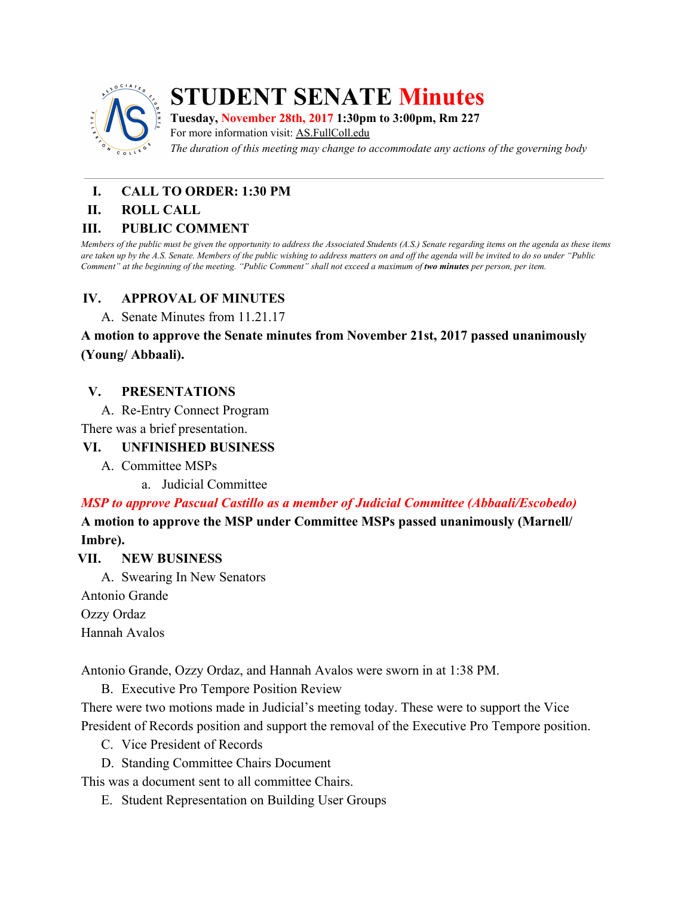

# **STUDENT SENATE Minutes**

**Tuesday, November 28th, 2017 1:30pm to 3:00pm, Rm 227** For more information visit: AS.FullColl.edu

*The duration of this meeting may change to accommodate any actions of the governing body*

### **I. CALL TO ORDER: 1:30 PM**

#### **II. ROLL CALL**

#### **III. PUBLIC COMMENT**

Members of the public must be given the opportunity to address the Associated Students (A.S.) Senate regarding items on the agenda as these items are taken up by the A.S. Senate. Members of the public wishing to address matters on and off the agenda will be invited to do so under "Public Comment" at the beginning of the meeting. "Public Comment" shall not exceed a maximum of two minutes per person, per item.

### **IV. APPROVAL OF MINUTES**

A. Senate Minutes from 11.21.17

**A motion to approve the Senate minutes from November 21st, 2017 passed unanimously (Young/ Abbaali).**

#### **V. PRESENTATIONS**

A. Re-Entry Connect Program

There was a brief presentation.

### **VI. UNFINISHED BUSINESS**

- A. Committee MSPs
	- a. Judicial Committee

# *MSP to approve Pascual Castillo as a member of Judicial Committee (Abbaali/Escobedo)*

**A motion to approve the MSP under Committee MSPs passed unanimously (Marnell/ Imbre).**

#### **VII. NEW BUSINESS**

A. Swearing In New Senators

Antonio Grande

Ozzy Ordaz

Hannah Avalos

Antonio Grande, Ozzy Ordaz, and Hannah Avalos were sworn in at 1:38 PM.

B. Executive Pro Tempore Position Review

There were two motions made in Judicial's meeting today. These were to support the Vice President of Records position and support the removal of the Executive Pro Tempore position.

- C. Vice President of Records
- D. Standing Committee Chairs Document

This was a document sent to all committee Chairs.

E. Student Representation on Building User Groups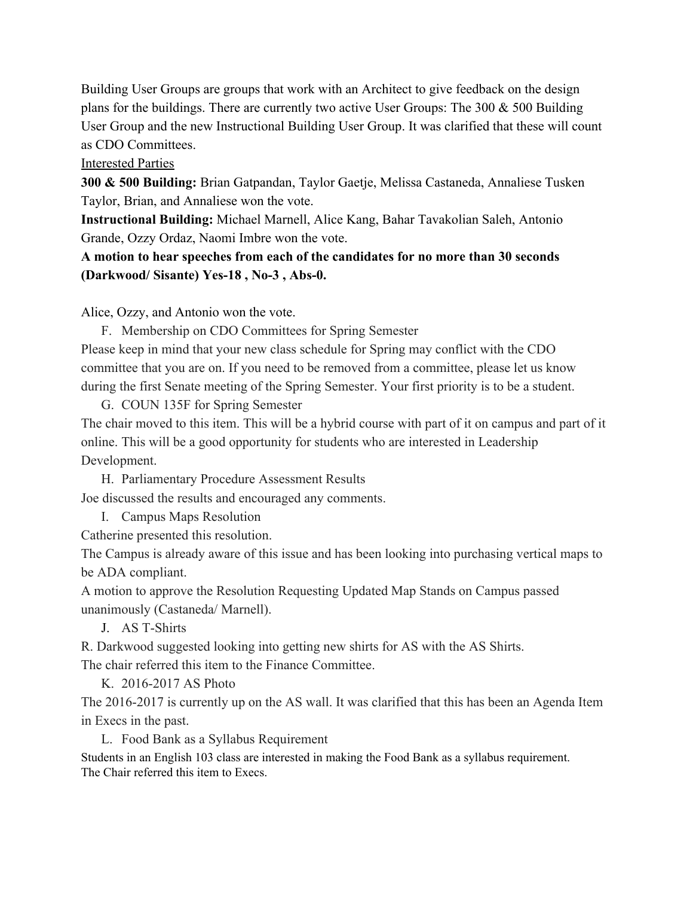Building User Groups are groups that work with an Architect to give feedback on the design plans for the buildings. There are currently two active User Groups: The 300  $\&$  500 Building User Group and the new Instructional Building User Group. It was clarified that these will count as CDO Committees.

# Interested Parties

**300 & 500 Building:** Brian Gatpandan, Taylor Gaetje, Melissa Castaneda, Annaliese Tusken Taylor, Brian, and Annaliese won the vote.

**Instructional Building:** Michael Marnell, Alice Kang, Bahar Tavakolian Saleh, Antonio Grande, Ozzy Ordaz, Naomi Imbre won the vote.

# **A motion to hear speeches from each of the candidates for no more than 30 seconds (Darkwood/ Sisante) Yes-18 , No-3 , Abs-0.**

Alice, Ozzy, and Antonio won the vote.

F. Membership on CDO Committees for Spring Semester Please keep in mind that your new class schedule for Spring may conflict with the CDO committee that you are on. If you need to be removed from a committee, please let us know during the first Senate meeting of the Spring Semester. Your first priority is to be a student.

G. COUN 135F for Spring Semester The chair moved to this item. This will be a hybrid course with part of it on campus and part of it online. This will be a good opportunity for students who are interested in Leadership Development.

H. Parliamentary Procedure Assessment Results Joe discussed the results and encouraged any comments.

I. Campus Maps Resolution

Catherine presented this resolution.

The Campus is already aware of this issue and has been looking into purchasing vertical maps to be ADA compliant.

A motion to approve the Resolution Requesting Updated Map Stands on Campus passed unanimously (Castaneda/ Marnell).

J. AS T-Shirts

R. Darkwood suggested looking into getting new shirts for AS with the AS Shirts. The chair referred this item to the Finance Committee.

K. 2016-2017 AS Photo

The 2016-2017 is currently up on the AS wall. It was clarified that this has been an Agenda Item in Execs in the past.

L. Food Bank as a Syllabus Requirement

Students in an English 103 class are interested in making the Food Bank as a syllabus requirement. The Chair referred this item to Execs.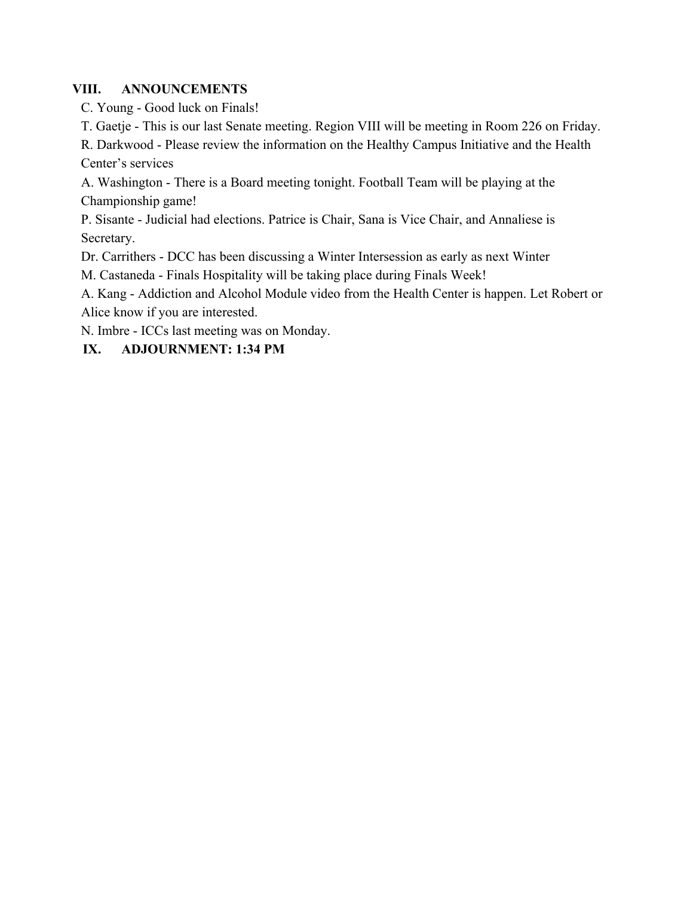#### **VIII. ANNOUNCEMENTS**

C. Young - Good luck on Finals!

T. Gaetje - This is our last Senate meeting. Region VIII will be meeting in Room 226 on Friday.

R. Darkwood - Please review the information on the Healthy Campus Initiative and the Health Center's services

A. Washington - There is a Board meeting tonight. Football Team will be playing at the Championship game!

P. Sisante - Judicial had elections. Patrice is Chair, Sana is Vice Chair, and Annaliese is Secretary.

Dr. Carrithers - DCC has been discussing a Winter Intersession as early as next Winter

M. Castaneda - Finals Hospitality will be taking place during Finals Week!

A. Kang - Addiction and Alcohol Module video from the Health Center is happen. Let Robert or Alice know if you are interested.

N. Imbre - ICCs last meeting was on Monday.

# **IX. ADJOURNMENT: 1:34 PM**